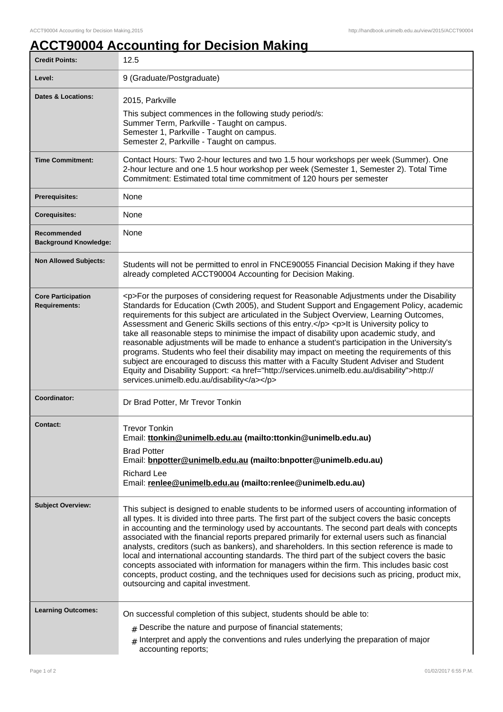## **ACCT90004 Accounting for Decision Making**

| <b>Credit Points:</b>                             | 12.5                                                                                                                                                                                                                                                                                                                                                                                                                                                                                                                                                                                                                                                                                                                                                                                                                                                                                                                         |
|---------------------------------------------------|------------------------------------------------------------------------------------------------------------------------------------------------------------------------------------------------------------------------------------------------------------------------------------------------------------------------------------------------------------------------------------------------------------------------------------------------------------------------------------------------------------------------------------------------------------------------------------------------------------------------------------------------------------------------------------------------------------------------------------------------------------------------------------------------------------------------------------------------------------------------------------------------------------------------------|
| Level:                                            | 9 (Graduate/Postgraduate)                                                                                                                                                                                                                                                                                                                                                                                                                                                                                                                                                                                                                                                                                                                                                                                                                                                                                                    |
| <b>Dates &amp; Locations:</b>                     | 2015, Parkville<br>This subject commences in the following study period/s:<br>Summer Term, Parkville - Taught on campus.<br>Semester 1, Parkville - Taught on campus.<br>Semester 2, Parkville - Taught on campus.                                                                                                                                                                                                                                                                                                                                                                                                                                                                                                                                                                                                                                                                                                           |
| <b>Time Commitment:</b>                           | Contact Hours: Two 2-hour lectures and two 1.5 hour workshops per week (Summer). One<br>2-hour lecture and one 1.5 hour workshop per week (Semester 1, Semester 2). Total Time<br>Commitment: Estimated total time commitment of 120 hours per semester                                                                                                                                                                                                                                                                                                                                                                                                                                                                                                                                                                                                                                                                      |
| <b>Prerequisites:</b>                             | None                                                                                                                                                                                                                                                                                                                                                                                                                                                                                                                                                                                                                                                                                                                                                                                                                                                                                                                         |
| <b>Corequisites:</b>                              | None                                                                                                                                                                                                                                                                                                                                                                                                                                                                                                                                                                                                                                                                                                                                                                                                                                                                                                                         |
| Recommended<br><b>Background Knowledge:</b>       | None                                                                                                                                                                                                                                                                                                                                                                                                                                                                                                                                                                                                                                                                                                                                                                                                                                                                                                                         |
| <b>Non Allowed Subjects:</b>                      | Students will not be permitted to enrol in FNCE90055 Financial Decision Making if they have<br>already completed ACCT90004 Accounting for Decision Making.                                                                                                                                                                                                                                                                                                                                                                                                                                                                                                                                                                                                                                                                                                                                                                   |
| <b>Core Participation</b><br><b>Requirements:</b> | <p>For the purposes of considering request for Reasonable Adjustments under the Disability<br/>Standards for Education (Cwth 2005), and Student Support and Engagement Policy, academic<br/>requirements for this subject are articulated in the Subject Overview, Learning Outcomes,<br/>Assessment and Generic Skills sections of this entry.</p> <p>It is University policy to<br/>take all reasonable steps to minimise the impact of disability upon academic study, and<br/>reasonable adjustments will be made to enhance a student's participation in the University's<br/>programs. Students who feel their disability may impact on meeting the requirements of this<br/>subject are encouraged to discuss this matter with a Faculty Student Adviser and Student<br/>Equity and Disability Support: &lt; a href="http://services.unimelb.edu.au/disability"&gt;http://<br/>services.unimelb.edu.au/disability</p> |
| Coordinator:                                      | Dr Brad Potter, Mr Trevor Tonkin                                                                                                                                                                                                                                                                                                                                                                                                                                                                                                                                                                                                                                                                                                                                                                                                                                                                                             |
| <b>Contact:</b>                                   | <b>Trevor Tonkin</b><br>Email: ttonkin@unimelb.edu.au (mailto:ttonkin@unimelb.edu.au)<br><b>Brad Potter</b><br>Email: bnpotter@unimelb.edu.au (mailto:bnpotter@unimelb.edu.au)<br><b>Richard Lee</b><br>Email: renlee@unimelb.edu.au (mailto:renlee@unimelb.edu.au)                                                                                                                                                                                                                                                                                                                                                                                                                                                                                                                                                                                                                                                          |
| <b>Subject Overview:</b>                          | This subject is designed to enable students to be informed users of accounting information of<br>all types. It is divided into three parts. The first part of the subject covers the basic concepts<br>in accounting and the terminology used by accountants. The second part deals with concepts<br>associated with the financial reports prepared primarily for external users such as financial<br>analysts, creditors (such as bankers), and shareholders. In this section reference is made to<br>local and international accounting standards. The third part of the subject covers the basic<br>concepts associated with information for managers within the firm. This includes basic cost<br>concepts, product costing, and the techniques used for decisions such as pricing, product mix,<br>outsourcing and capital investment.                                                                                  |
| <b>Learning Outcomes:</b>                         | On successful completion of this subject, students should be able to:<br>$#$ Describe the nature and purpose of financial statements;<br>$#$ Interpret and apply the conventions and rules underlying the preparation of major<br>accounting reports;                                                                                                                                                                                                                                                                                                                                                                                                                                                                                                                                                                                                                                                                        |